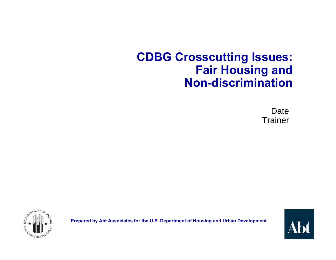#### **CDBG Crosscutting Issues: Fair Housing and Non-discrimination**

Date **Trainer** 



**Prepared by Abt Associates for the U.S. Department of Housing and Urban Development**

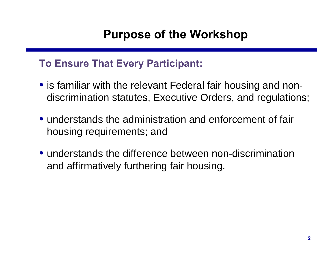#### **Purpose of the Workshop**

#### **To Ensure That Every Participant:**

- is familiar with the relevant Federal fair housing and nondiscrimination statutes, Executive Orders, and regulations;
- understands the administration and enforcement of fair housing requirements; and
- understands the difference between non-discrimination and affirmatively furthering fair housing.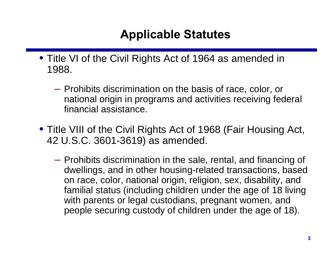#### **Applicable Statutes**

- Title VI of the Civil Rights Act of 1964 as amended in 1988.
	- Prohibits discrimination on the basis of race, color, or national origin in programs and activities receiving federal financial assistance.
- Title VIII of the Civil Rights Act of 1968 (Fair Housing Act, 42 U.S.C. 3601-3619) as amended.
	- Prohibits discrimination in the sale, rental, and financing of dwellings, and in other housing-related transactions, based on race, color, national origin, religion, sex, disability, and familial status (including children under the age of 18 living with parents or legal custodians, pregnant women, and people securing custody of children under the age of 18).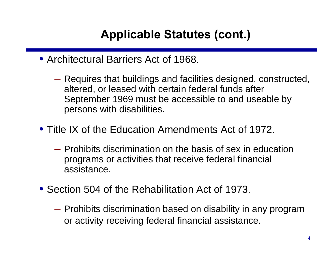- Architectural Barriers Act of 1968.
	- Requires that buildings and facilities designed, constructed, altered, or leased with certain federal funds after September 1969 must be accessible to and useable by persons with disabilities.
- Title IX of the Education Amendments Act of 1972.
	- Prohibits discrimination on the basis of sex in education programs or activities that receive federal financial assistance.
- Section 504 of the Rehabilitation Act of 1973.
	- Prohibits discrimination based on disability in any program or activity receiving federal financial assistance.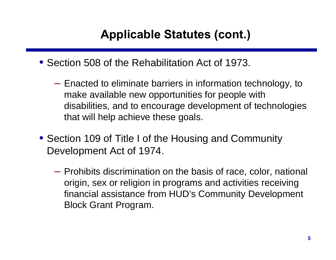- Section 508 of the Rehabilitation Act of 1973.
	- Enacted to eliminate barriers in information technology, to make available new opportunities for people with disabilities, and to encourage development of technologies that will help achieve these goals.
- Section 109 of Title I of the Housing and Community Development Act of 1974.
	- Prohibits discrimination on the basis of race, color, national origin, sex or religion in programs and activities receiving financial assistance from HUD's Community Development Block Grant Program.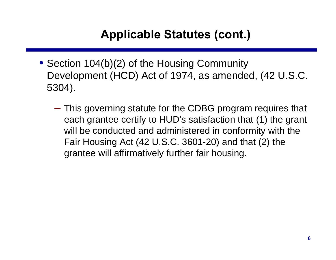- Section 104(b)(2) of the Housing Community Development (HCD) Act of 1974, as amended, (42 U.S.C. 5304).
	- This governing statute for the CDBG program requires that each grantee certify to HUD's satisfaction that (1) the grant will be conducted and administered in conformity with the Fair Housing Act (42 U.S.C. 3601-20) and that (2) the grantee will affirmatively further fair housing.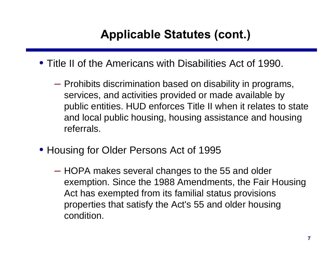- Title II of the Americans with Disabilities Act of 1990.
	- Prohibits discrimination based on disability in programs, services, and activities provided or made available by public entities. HUD enforces Title II when it relates to state and local public housing, housing assistance and housing referrals.
- Housing for Older Persons Act of 1995
	- HOPA makes several changes to the 55 and older exemption. Since the 1988 Amendments, the Fair Housing Act has exempted from its familial status provisions properties that satisfy the Act's 55 and older housing condition.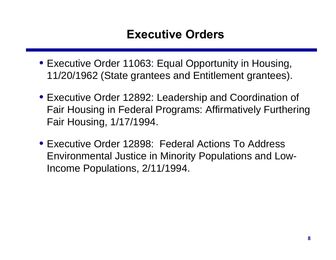#### **Executive Orders**

- Executive Order 11063: Equal Opportunity in Housing, 11/20/1962 (State grantees and Entitlement grantees).
- Executive Order 12892: Leadership and Coordination of Fair Housing in Federal Programs: Affirmatively Furthering Fair Housing, 1/17/1994.
- Executive Order 12898: Federal Actions To Address Environmental Justice in Minority Populations and Low-Income Populations, 2/11/1994.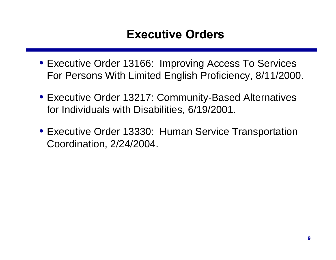#### **Executive Orders**

- Executive Order 13166: Improving Access To Services For Persons With Limited English Proficiency, 8/11/2000.
- Executive Order 13217: Community-Based Alternatives for Individuals with Disabilities, 6/19/2001.
- Executive Order 13330: Human Service Transportation Coordination, 2/24/2004.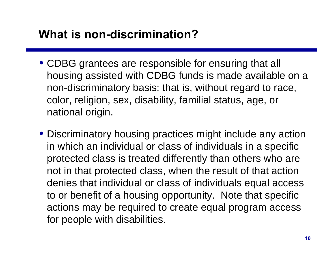#### **What is non-discrimination?**

- CDBG grantees are responsible for ensuring that all housing assisted with CDBG funds is made available on a non-discriminatory basis: that is, without regard to race, color, religion, sex, disability, familial status, age, or national origin.
- Discriminatory housing practices might include any action in which an individual or class of individuals in a specific protected class is treated differently than others who are not in that protected class, when the result of that action denies that individual or class of individuals equal access to or benefit of a housing opportunity. Note that specific actions may be required to create equal program access for people with disabilities.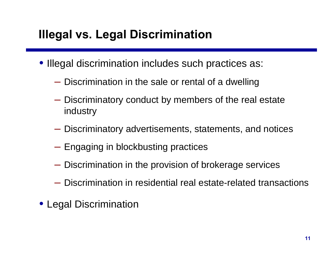#### **Illegal vs. Legal Discrimination**

- Illegal discrimination includes such practices as:
	- Discrimination in the sale or rental of a dwelling
	- Discriminatory conduct by members of the real estate industry
	- Discriminatory advertisements, statements, and notices
	- Engaging in blockbusting practices
	- Discrimination in the provision of brokerage services
	- Discrimination in residential real estate-related transactions
- Legal Discrimination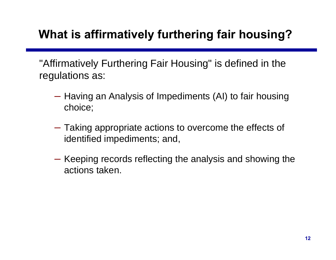# **What is affirmatively furthering fair housing?**

"Affirmatively Furthering Fair Housing" is defined in the regulations as:

- Having an Analysis of Impediments (AI) to fair housing choice;
- Taking appropriate actions to overcome the effects of identified impediments; and,
- Keeping records reflecting the analysis and showing the actions taken.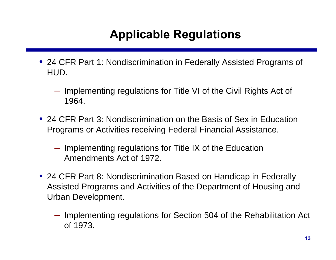# **Applicable Regulations**

- 24 CFR Part 1: Nondiscrimination in Federally Assisted Programs of HUD.
	- Implementing regulations for Title VI of the Civil Rights Act of 1964.
- 24 CFR Part 3: Nondiscrimination on the Basis of Sex in Education Programs or Activities receiving Federal Financial Assistance.
	- Implementing regulations for Title IX of the Education Amendments Act of 1972.
- 24 CFR Part 8: Nondiscrimination Based on Handicap in Federally Assisted Programs and Activities of the Department of Housing and Urban Development.
	- Implementing regulations for Section 504 of the Rehabilitation Act of 1973.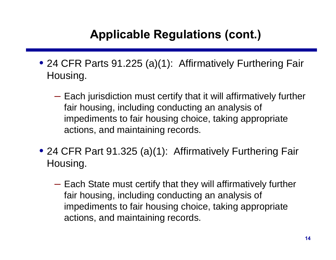- 24 CFR Parts 91.225 (a)(1): Affirmatively Furthering Fair Housing.
	- Each jurisdiction must certify that it will affirmatively further fair housing, including conducting an analysis of impediments to fair housing choice, taking appropriate actions, and maintaining records.
- 24 CFR Part 91.325 (a)(1): Affirmatively Furthering Fair Housing.
	- Each State must certify that they will affirmatively further fair housing, including conducting an analysis of impediments to fair housing choice, taking appropriate actions, and maintaining records.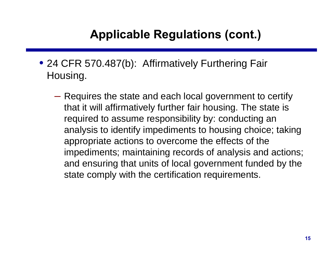- 24 CFR 570.487(b): Affirmatively Furthering Fair Housing.
	- Requires the state and each local government to certify that it will affirmatively further fair housing. The state is required to assume responsibility by: conducting an analysis to identify impediments to housing choice; taking appropriate actions to overcome the effects of the impediments; maintaining records of analysis and actions; and ensuring that units of local government funded by the state comply with the certification requirements.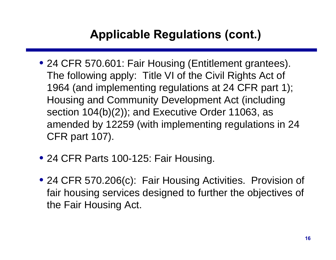- 24 CFR 570.601: Fair Housing (Entitlement grantees). The following apply: Title VI of the Civil Rights Act of 1964 (and implementing regulations at 24 CFR part 1); Housing and Community Development Act (including section 104(b)(2)); and Executive Order 11063, as amended by 12259 (with implementing regulations in 24 CFR part 107).
- 24 CFR Parts 100-125: Fair Housing.
- 24 CFR 570.206(c): Fair Housing Activities. Provision of fair housing services designed to further the objectives of the Fair Housing Act.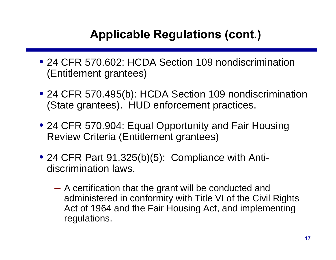- 24 CFR 570,602: HCDA Section 109 nondiscrimination (Entitlement grantees)
- 24 CFR 570.495(b): HCDA Section 109 nondiscrimination (State grantees). HUD enforcement practices.
- 24 CFR 570.904: Equal Opportunity and Fair Housing Review Criteria (Entitlement grantees)
- 24 CFR Part 91.325(b)(5): Compliance with Antidiscrimination laws.
	- A certification that the grant will be conducted and administered in conformity with Title VI of the Civil Rights Act of 1964 and the Fair Housing Act, and implementing regulations.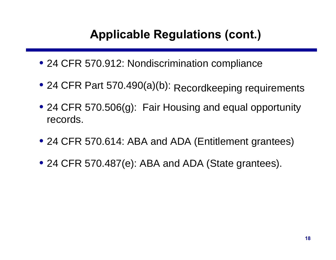- 24 CFR 570.912: Nondiscrimination compliance
- 24 CFR Part 570.490(a)(b): Recordkeeping requirements
- 24 CFR 570.506(g): Fair Housing and equal opportunity records.
- 24 CFR 570.614: ABA and ADA (Entitlement grantees)
- 24 CFR 570.487(e): ABA and ADA (State grantees).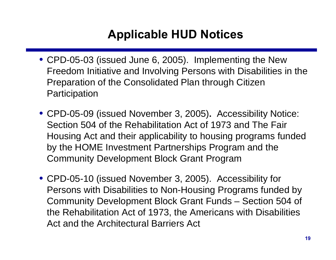### **Applicable HUD Notices**

- CPD-05-03 (issued June 6, 2005). Implementing the New Freedom Initiative and Involving Persons with Disabilities in the Preparation of the Consolidated Plan through Citizen **Participation**
- CPD-05-09 (issued November 3, 2005)**.** Accessibility Notice: Section 504 of the Rehabilitation Act of 1973 and The Fair Housing Act and their applicability to housing programs funded by the HOME Investment Partnerships Program and the Community Development Block Grant Program
- CPD-05-10 (issued November 3, 2005). Accessibility for Persons with Disabilities to Non-Housing Programs funded by Community Development Block Grant Funds – Section 504 of the Rehabilitation Act of 1973, the Americans with Disabilities Act and the Architectural Barriers Act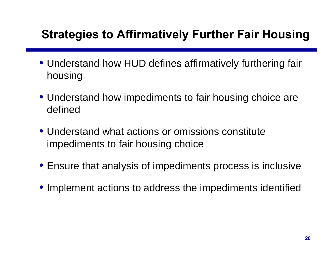#### **Strategies to Affirmatively Further Fair Housing**

- Understand how HUD defines affirmatively furthering fair housing
- Understand how impediments to fair housing choice are defined
- Understand what actions or omissions constitute impediments to fair housing choice
- Ensure that analysis of impediments process is inclusive
- Implement actions to address the impediments identified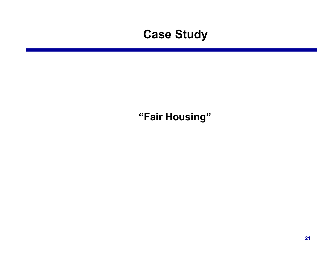#### **Case Study**

#### **"Fair Housing"**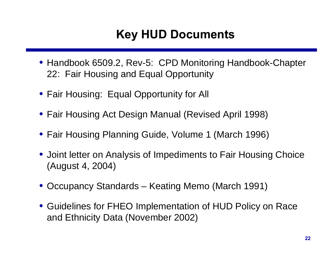# **Key HUD Documents**

- Handbook 6509.2, Rev-5: CPD Monitoring Handbook-Chapter 22: Fair Housing and Equal Opportunity
- Fair Housing: Equal Opportunity for All
- Fair Housing Act Design Manual (Revised April 1998)
- Fair Housing Planning Guide, Volume 1 (March 1996)
- Joint letter on Analysis of Impediments to Fair Housing Choice (August 4, 2004)
- Occupancy Standards Keating Memo (March 1991)
- Guidelines for FHEO Implementation of HUD Policy on Race and Ethnicity Data (November 2002)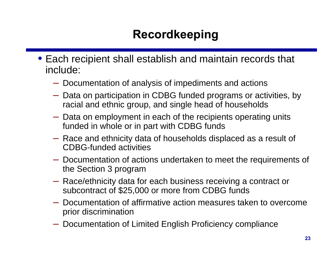# **Recordkeeping**

- Each recipient shall establish and maintain records that include:
	- Documentation of analysis of impediments and actions
	- Data on participation in CDBG funded programs or activities, by racial and ethnic group, and single head of households
	- Data on employment in each of the recipients operating units funded in whole or in part with CDBG funds
	- Race and ethnicity data of households displaced as a result of CDBG-funded activities
	- Documentation of actions undertaken to meet the requirements of the Section 3 program
	- Race/ethnicity data for each business receiving a contract or subcontract of \$25,000 or more from CDBG funds
	- Documentation of affirmative action measures taken to overcome prior discrimination
	- Documentation of Limited English Proficiency compliance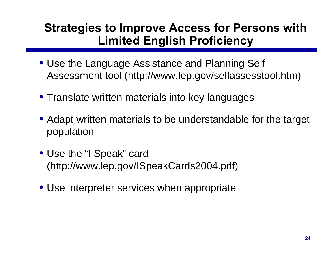#### **Strategies to Improve Access for Persons with Limited English Proficiency**

- Use the Language Assistance and Planning Self Assessment tool (http://www.lep.gov/selfassesstool.htm)
- Translate written materials into key languages
- Adapt written materials to be understandable for the target population
- Use the "I Speak" card (http://www.lep.gov/ISpeakCards2004.pdf)
- Use interpreter services when appropriate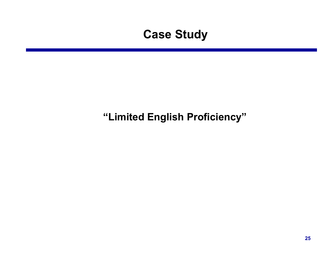#### **Case Study**

#### **"Limited English Proficiency"**